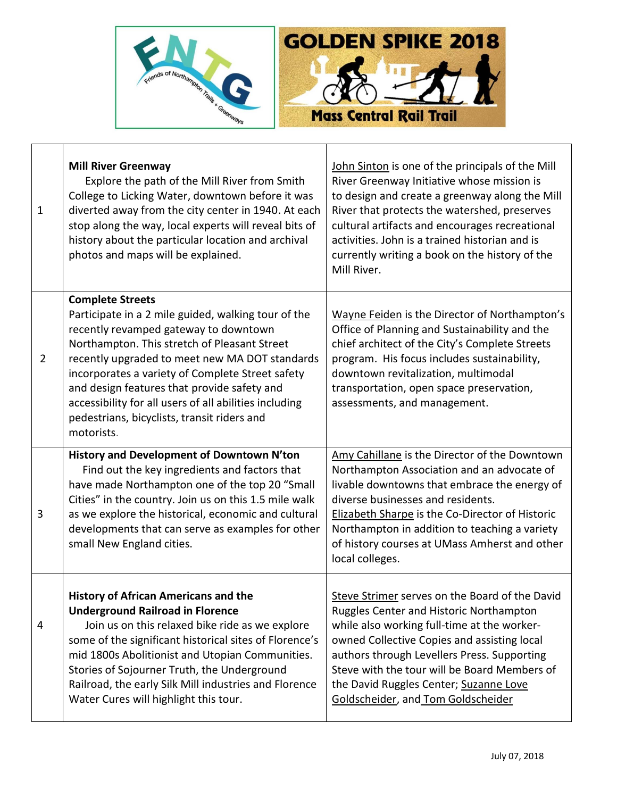



| $\mathbf 1$    | <b>Mill River Greenway</b><br>Explore the path of the Mill River from Smith<br>College to Licking Water, downtown before it was<br>diverted away from the city center in 1940. At each<br>stop along the way, local experts will reveal bits of<br>history about the particular location and archival<br>photos and maps will be explained.                                                                                                         | John Sinton is one of the principals of the Mill<br>River Greenway Initiative whose mission is<br>to design and create a greenway along the Mill<br>River that protects the watershed, preserves<br>cultural artifacts and encourages recreational<br>activities. John is a trained historian and is<br>currently writing a book on the history of the<br>Mill River.  |
|----------------|-----------------------------------------------------------------------------------------------------------------------------------------------------------------------------------------------------------------------------------------------------------------------------------------------------------------------------------------------------------------------------------------------------------------------------------------------------|------------------------------------------------------------------------------------------------------------------------------------------------------------------------------------------------------------------------------------------------------------------------------------------------------------------------------------------------------------------------|
| $\overline{2}$ | <b>Complete Streets</b><br>Participate in a 2 mile guided, walking tour of the<br>recently revamped gateway to downtown<br>Northampton. This stretch of Pleasant Street<br>recently upgraded to meet new MA DOT standards<br>incorporates a variety of Complete Street safety<br>and design features that provide safety and<br>accessibility for all users of all abilities including<br>pedestrians, bicyclists, transit riders and<br>motorists. | Wayne Feiden is the Director of Northampton's<br>Office of Planning and Sustainability and the<br>chief architect of the City's Complete Streets<br>program. His focus includes sustainability,<br>downtown revitalization, multimodal<br>transportation, open space preservation,<br>assessments, and management.                                                     |
| 3              | History and Development of Downtown N'ton<br>Find out the key ingredients and factors that<br>have made Northampton one of the top 20 "Small<br>Cities" in the country. Join us on this 1.5 mile walk<br>as we explore the historical, economic and cultural<br>developments that can serve as examples for other<br>small New England cities.                                                                                                      | Amy Cahillane is the Director of the Downtown<br>Northampton Association and an advocate of<br>livable downtowns that embrace the energy of<br>diverse businesses and residents.<br>Elizabeth Sharpe is the Co-Director of Historic<br>Northampton in addition to teaching a variety<br>of history courses at UMass Amherst and other<br>local colleges.               |
| 4              | <b>History of African Americans and the</b><br><b>Underground Railroad in Florence</b><br>Join us on this relaxed bike ride as we explore<br>some of the significant historical sites of Florence's<br>mid 1800s Abolitionist and Utopian Communities.<br>Stories of Sojourner Truth, the Underground<br>Railroad, the early Silk Mill industries and Florence<br>Water Cures will highlight this tour.                                             | Steve Strimer serves on the Board of the David<br>Ruggles Center and Historic Northampton<br>while also working full-time at the worker-<br>owned Collective Copies and assisting local<br>authors through Levellers Press. Supporting<br>Steve with the tour will be Board Members of<br>the David Ruggles Center; Suzanne Love<br>Goldscheider, and Tom Goldscheider |